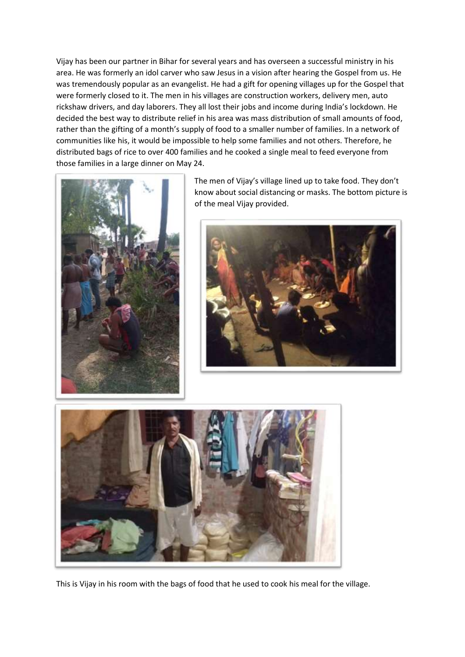Vijay has been our partner in Bihar for several years and has overseen a successful ministry in his area. He was formerly an idol carver who saw Jesus in a vision after hearing the Gospel from us. He was tremendously popular as an evangelist. He had a gift for opening villages up for the Gospel that were formerly closed to it. The men in his villages are construction workers, delivery men, auto rickshaw drivers, and day laborers. They all lost their jobs and income during India's lockdown. He decided the best way to distribute relief in his area was mass distribution of small amounts of food, rather than the gifting of a month's supply of food to a smaller number of families. In a network of communities like his, it would be impossible to help some families and not others. Therefore, he distributed bags of rice to over 400 families and he cooked a single meal to feed everyone from those families in a large dinner on May 24.



The men of Vijay's village lined up to take food. They don't know about social distancing or masks. The bottom picture is of the meal Vijay provided.





This is Vijay in his room with the bags of food that he used to cook his meal for the village.